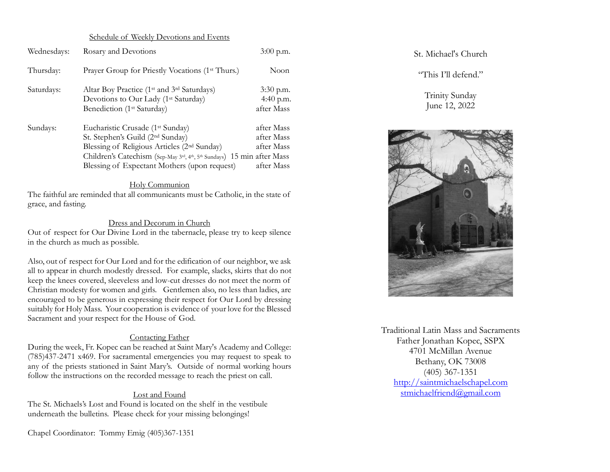#### Schedule of Weekly Devotions and Events

| Wednesdays: | Rosary and Devotions                                                                                                                                                                                                                                                              | $3:00$ p.m.                                          |
|-------------|-----------------------------------------------------------------------------------------------------------------------------------------------------------------------------------------------------------------------------------------------------------------------------------|------------------------------------------------------|
| Thursday:   | Prayer Group for Priestly Vocations (1 <sup>st</sup> Thurs.)                                                                                                                                                                                                                      | Noon                                                 |
| Saturdays:  | Altar Boy Practice (1 <sup>st</sup> and 3 <sup>rd</sup> Saturdays)<br>Devotions to Our Lady (1 <sup>st</sup> Saturday)<br>Benediction (1 <sup>st</sup> Saturday)                                                                                                                  | $3:30$ p.m.<br>4:40 p.m.<br>after Mass               |
| Sundays:    | Eucharistic Crusade (1 <sup>st</sup> Sunday)<br>St. Stephen's Guild (2 <sup>nd</sup> Sunday)<br>Blessing of Religious Articles (2 <sup>nd</sup> Sunday)<br>Children's Catechism (Sep-May 3rd, 4th, 5th Sundays) 15 min after Mass<br>Blessing of Expectant Mothers (upon request) | after Mass<br>after Mass<br>after Mass<br>after Mass |

#### Holy Communion

The faithful are reminded that all communicants must be Catholic, in the state of grace, and fasting.

#### Dress and Decorum in Church

Out of respect for Our Divine Lord in the tabernacle, please try to keep silence in the church as much as possible.

Also, out of respect for Our Lord and for the edification of our neighbor, we ask all to appear in church modestly dressed. For example, slacks, skirts that do not keep the knees covered, sleeveless and low-cut dresses do not meet the norm of Christian modesty for women and girls. Gentlemen also, no less than ladies, are encouraged to be generous in expressing their respect for Our Lord by dressing suitably for Holy Mass. Your cooperation is evidence of your love for the Blessed Sacrament and your respect for the House of God.

#### Contacting Father

During the week, Fr. Kopec can be reached at Saint Mary's Academy and College: (785)437-2471 x469. For sacramental emergencies you may request to speak to any of the priests stationed in Saint Mary's. Outside of normal working hours follow the instructions on the recorded message to reach the priest on call.

#### Lost and Found

The St. Michaels's Lost and Found is located on the shelf in the vestibule underneath the bulletins. Please check for your missing belongings!

Chapel Coordinator: Tommy Emig (405)367-1351

St. Michael's Church

"This I'll defend."

Trinity Sunday June 12, 2022



Traditional Latin Mass and Sacraments Father Jonathan Kopec, SSPX 4701 McMillan Avenue Bethany, OK 73008 (405) 367-1351 [http://saintmichaelschapel.com](http://saintmichaelschapel.com/) [stmichaelfriend@gmail.com](mailto:stmichaelfriend@gmail.com)